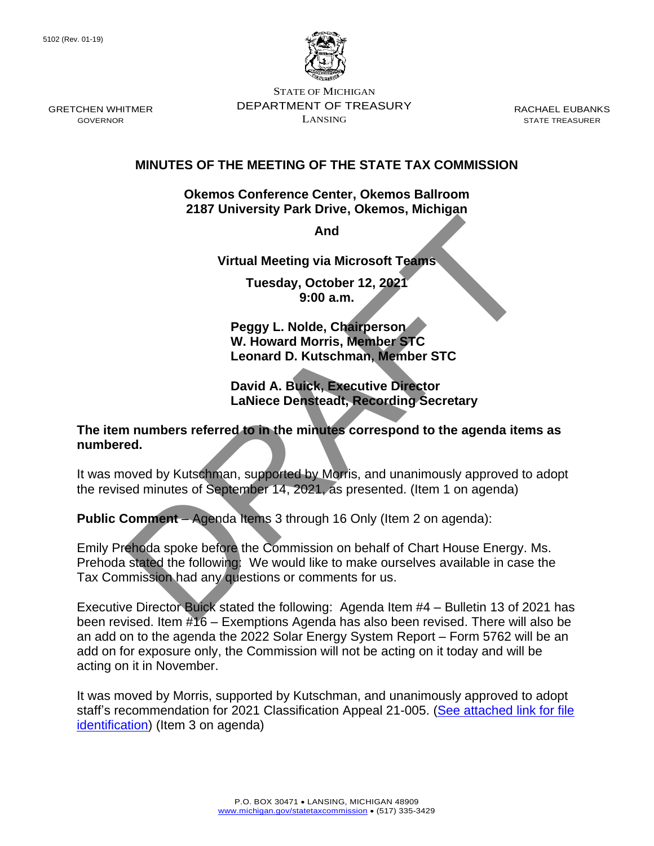

STATE OF MICHIGAN DEPARTMENT OF TREASURY LANSING

RACHAEL EUBANKS STATE TREASURER

## **MINUTES OF THE MEETING OF THE STATE TAX COMMISSION**

**Okemos Conference Center, Okemos Ballroom 2187 University Park Drive, Okemos, Michigan**

**And** 

**Virtual Meeting via Microsoft Teams**

**Tuesday, October 12, 2021 9:00 a.m.**

**Peggy L. Nolde, Chairperson W. Howard Morris, Member STC Leonard D. Kutschman, Member STC**

## **David A. Buick, Executive Director LaNiece Densteadt, Recording Secretary**

## **The item numbers referred to in the minutes correspond to the agenda items as numbered.**

It was moved by Kutschman, supported by Morris, and unanimously approved to adopt the revised minutes of September 14, 2021, as presented. (Item 1 on agenda)

**Public Comment** – Agenda Items 3 through 16 Only (Item 2 on agenda):

Emily Prehoda spoke before the Commission on behalf of Chart House Energy. Ms. Prehoda stated the following: We would like to make ourselves available in case the Tax Commission had any questions or comments for us. And<br>
Virtual Meeting via Microsoft Teams<br>
Tuesday, October 12, 2021<br>
9:00 a.m.<br>
Peggy L. Nolde, Chairperson<br>
W. Howard Morris, Member STC<br>
Leonard D. Kutschman, Member STC<br>
David A. Buick, Executive Director<br>
Lawiece Denst

Executive Director Buick stated the following: Agenda Item #4 – Bulletin 13 of 2021 has been revised. Item #16 – Exemptions Agenda has also been revised. There will also be an add on to the agenda the 2022 Solar Energy System Report – Form 5762 will be an add on for exposure only, the Commission will not be acting on it today and will be acting on it in November.

It was moved by Morris, supported by Kutschman, and unanimously approved to adopt staff's recommendation for 2021 Classification Appeal 21-005. (See attached link for file [identification\)](https://www.michigan.gov/documents/treasury/2021_Class_Appeal_Determinations_from_October_12_2021_Meeting_738377_7.pdf) (Item 3 on agenda)

GRETCHEN WHITMER GOVERNOR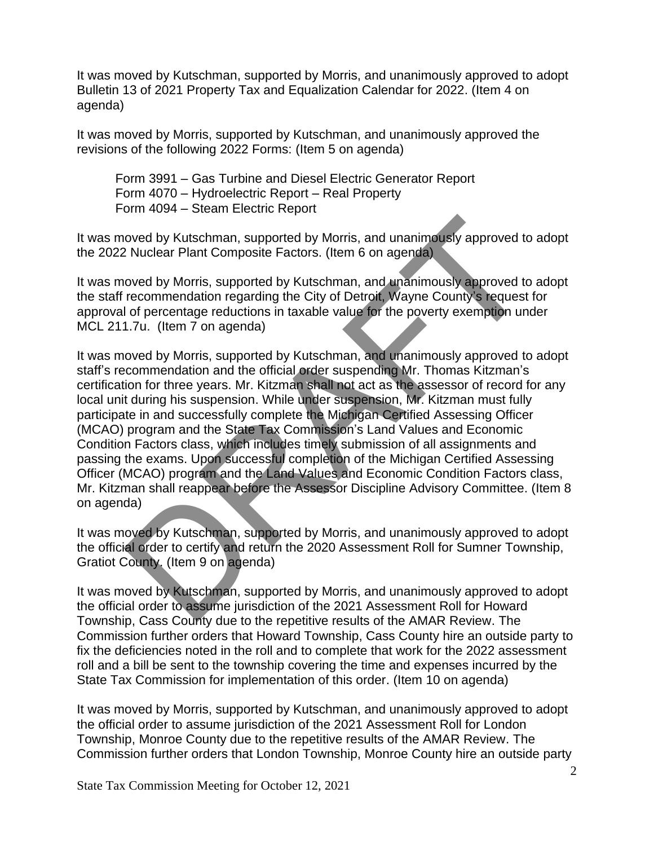It was moved by Kutschman, supported by Morris, and unanimously approved to adopt Bulletin 13 of 2021 Property Tax and Equalization Calendar for 2022. (Item 4 on agenda)

It was moved by Morris, supported by Kutschman, and unanimously approved the revisions of the following 2022 Forms: (Item 5 on agenda)

Form 3991 – Gas Turbine and Diesel Electric Generator Report Form 4070 – Hydroelectric Report – Real Property Form 4094 – Steam Electric Report

It was moved by Kutschman, supported by Morris, and unanimously approved to adopt the 2022 Nuclear Plant Composite Factors. (Item 6 on agenda)

It was moved by Morris, supported by Kutschman, and unanimously approved to adopt the staff recommendation regarding the City of Detroit, Wayne County's request for approval of percentage reductions in taxable value for the poverty exemption under MCL 211.7u. (Item 7 on agenda)

It was moved by Morris, supported by Kutschman, and unanimously approved to adopt staff's recommendation and the official order suspending Mr. Thomas Kitzman's certification for three years. Mr. Kitzman shall not act as the assessor of record for any local unit during his suspension. While under suspension, Mr. Kitzman must fully participate in and successfully complete the Michigan Certified Assessing Officer (MCAO) program and the State Tax Commission's Land Values and Economic Condition Factors class, which includes timely submission of all assignments and passing the exams. Upon successful completion of the Michigan Certified Assessing Officer (MCAO) program and the Land Values and Economic Condition Factors class, Mr. Kitzman shall reappear before the Assessor Discipline Advisory Committee. (Item 8 on agenda) oved by Kutschman, supported by Morris, and unanimously approved to<br>
2. Nuclear Plant Composite Factors. (Item 6 on agenda)<br>
oved by Morris, supported by Kutschman, and unanimously approved to<br>
recommendation regarding the

It was moved by Kutschman, supported by Morris, and unanimously approved to adopt the official order to certify and return the 2020 Assessment Roll for Sumner Township, Gratiot County. (Item 9 on agenda)

It was moved by Kutschman, supported by Morris, and unanimously approved to adopt the official order to assume jurisdiction of the 2021 Assessment Roll for Howard Township, Cass County due to the repetitive results of the AMAR Review. The Commission further orders that Howard Township, Cass County hire an outside party to fix the deficiencies noted in the roll and to complete that work for the 2022 assessment roll and a bill be sent to the township covering the time and expenses incurred by the State Tax Commission for implementation of this order. (Item 10 on agenda)

It was moved by Morris, supported by Kutschman, and unanimously approved to adopt the official order to assume jurisdiction of the 2021 Assessment Roll for London Township, Monroe County due to the repetitive results of the AMAR Review. The Commission further orders that London Township, Monroe County hire an outside party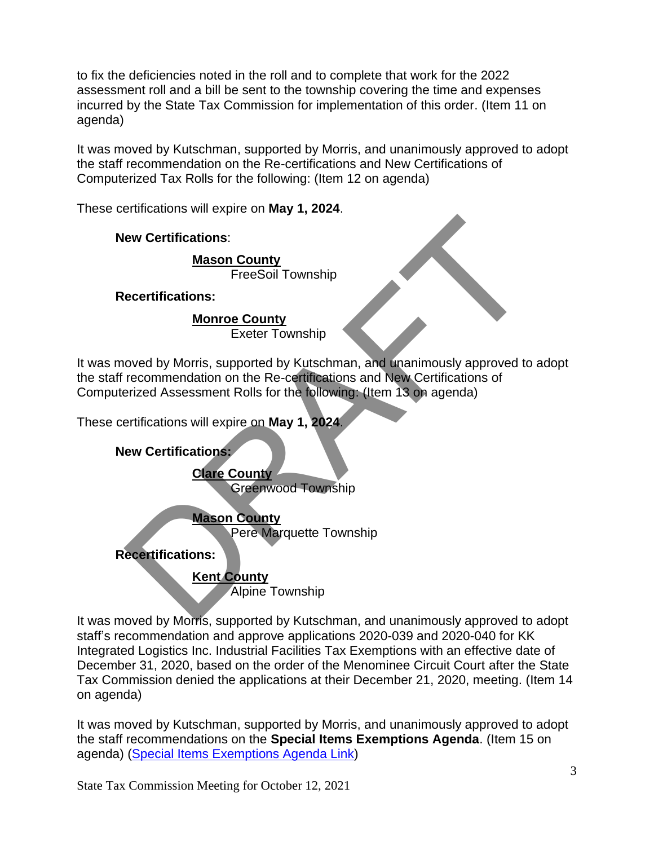to fix the deficiencies noted in the roll and to complete that work for the 2022 assessment roll and a bill be sent to the township covering the time and expenses incurred by the State Tax Commission for implementation of this order. (Item 11 on agenda)

It was moved by Kutschman, supported by Morris, and unanimously approved to adopt the staff recommendation on the Re-certifications and New Certifications of Computerized Tax Rolls for the following: (Item 12 on agenda)

These certifications will expire on **May 1, 2024**.

**New Certifications**:

**Mason County** FreeSoil Township

**Recertifications:**

**Monroe County** Exeter Township

It was moved by Morris, supported by Kutschman, and unanimously approved to adopt the staff recommendation on the Re-certifications and New Certifications of Computerized Assessment Rolls for the following: (Item 13 on agenda) eve Certifications:<br>
Mason County<br>
FreeSoil Township<br>
Exeter Township<br>
Cover by Morris, supported by Kutschman, and unanimously approved to<br>
recommendation on the Re-certifications and New Certifications of<br>
ertifications:

These certifications will expire on **May 1, 2024**.

**New Certifications:**

**Clare County** Greenwood Township

**Mason County**

Pere Marquette Township

**Recertifications:**

**Kent County**

Alpine Township

It was moved by Morris, supported by Kutschman, and unanimously approved to adopt staff's recommendation and approve applications 2020-039 and 2020-040 for KK Integrated Logistics Inc. Industrial Facilities Tax Exemptions with an effective date of December 31, 2020, based on the order of the Menominee Circuit Court after the State Tax Commission denied the applications at their December 21, 2020, meeting. (Item 14 on agenda)

It was moved by Kutschman, supported by Morris, and unanimously approved to adopt the staff recommendations on the **Special Items Exemptions Agenda**. (Item 15 on agenda) [\(Special Items Exemptions Agenda Link\)](https://www.michigan.gov/documents/treasury/15_Exemptions_Special_Items_Agenda_for_Web_737574_7.pdf)

State Tax Commission Meeting for October 12, 2021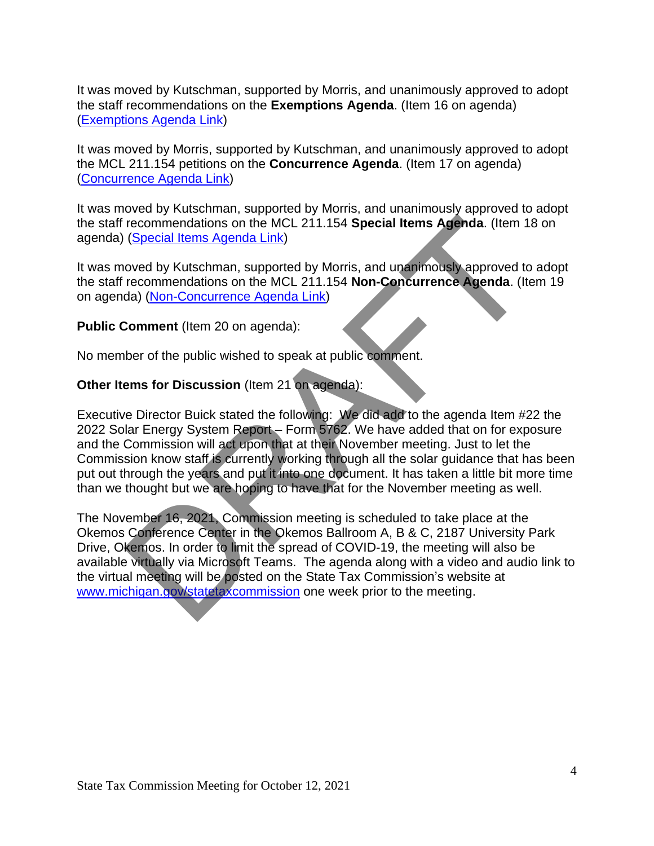It was moved by Kutschman, supported by Morris, and unanimously approved to adopt the staff recommendations on the **Exemptions Agenda**. (Item 16 on agenda) [\(Exemptions Agenda Link\)](https://www.michigan.gov/documents/treasury/16_Exemptions_Agenda_737575_7.pdf)

It was moved by Morris, supported by Kutschman, and unanimously approved to adopt the MCL 211.154 petitions on the **Concurrence Agenda**. (Item 17 on agenda) [\(Concurrence](https://www.michigan.gov/documents/treasury/17_Agenda_-_Concurrence_737576_7.pdf) Agenda Link)

It was moved by Kutschman, supported by Morris, and unanimously approved to adopt the staff recommendations on the MCL 211.154 **Special Items Agenda**. (Item 18 on agenda) (Special Items Agenda Link)

It was moved by Kutschman, supported by Morris, and unanimously approved to adopt the staff recommendations on the MCL 211.154 **Non-Concurrence Agenda**. (Item 19 on agenda) (Non-Concurrence Agenda Link)

**Public Comment** (Item 20 on agenda):

No member of the public wished to speak at public comment.

## **Other Items for Discussion** (Item 21 on agenda):

Executive Director Buick stated the following: We did add to the agenda Item #22 the 2022 Solar Energy System Report – Form 5762. We have added that on for exposure and the Commission will act upon that at their November meeting. Just to let the Commission know staff is currently working through all the solar guidance that has been put out through the years and put it into one document. It has taken a little bit more time than we thought but we are hoping to have that for the November meeting as well.

The November 16, 2021, Commission meeting is scheduled to take place at the Okemos Conference Center in the Okemos Ballroom A, B & C, 2187 University Park Drive, Okemos. In order to limit the spread of COVID-19, the meeting will also be available virtually via Microsoft Teams. The agenda along with a video and audio link to the virtual meeting will be posted on the State Tax Commission's website at www.michigan.gov/statetaxcommission one week prior to the meeting. recommendations on the MCL 211.154 Special Items Agenda. (Item 1<br>
(Special Items Agenda Link)<br>
oved by Kutschman, supported by Morris, and unanimously approved to<br>
recommendations on the MCL 211.154 Non-Concurrence Agenda.